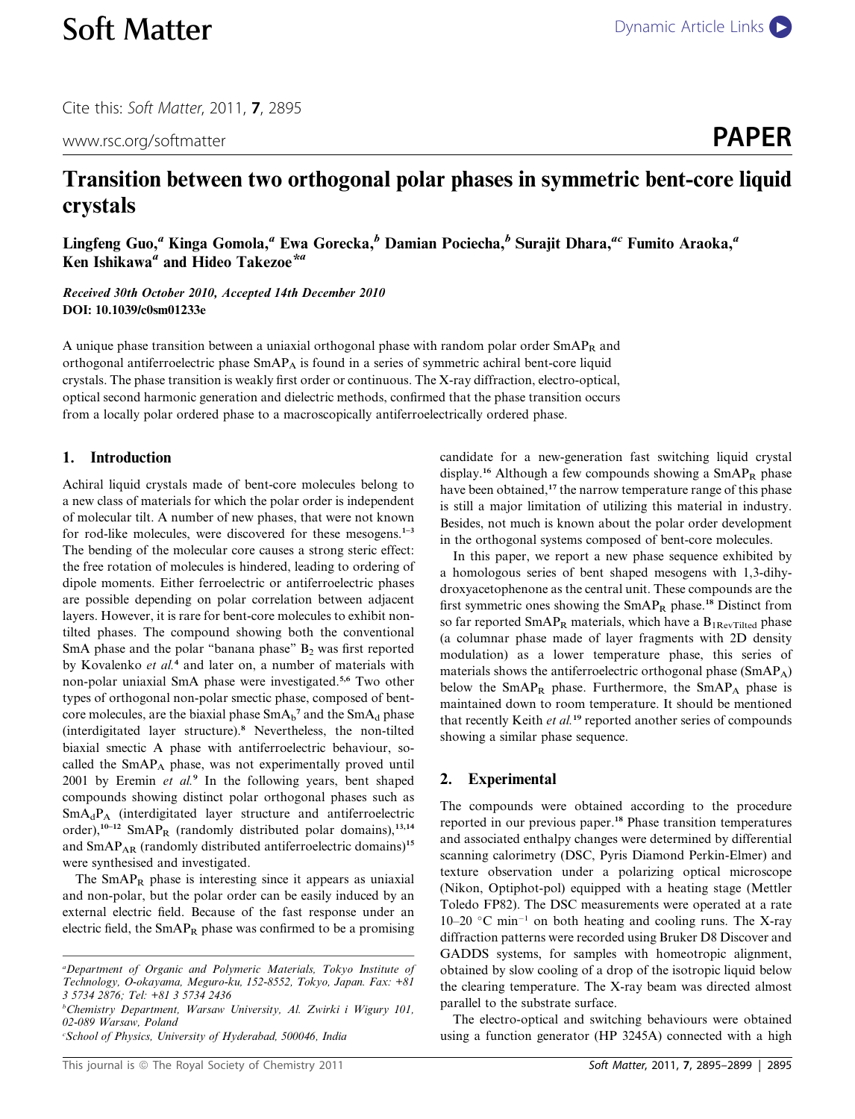Cite this: Soft Matter, 2011, 7, 2895

www.rsc.org/softmatter **PAPER** 

# Transition between two orthogonal polar phases in symmetric bent-core liquid crystals

Lingfeng Guo,<sup>a</sup> Kinga Gomola,<sup>a</sup> Ewa Gorecka,<sup>b</sup> Damian Pociecha,<sup>b</sup> Surajit Dhara,<sup>ac</sup> Fumito Araoka,<sup>a</sup> Ken Ishikawa<sup>a</sup> and Hideo Takezoe<sup>\*a</sup>

Received 30th October 2010, Accepted 14th December 2010 DOI: 10.1039/c0sm01233e

A unique phase transition between a uniaxial orthogonal phase with random polar order  $SmAP_R$  and orthogonal antiferroelectric phase SmAPA is found in a series of symmetric achiral bent-core liquid crystals. The phase transition is weakly first order or continuous. The X-ray diffraction, electro-optical, optical second harmonic generation and dielectric methods, confirmed that the phase transition occurs from a locally polar ordered phase to a macroscopically antiferroelectrically ordered phase.

### 1. Introduction

Achiral liquid crystals made of bent-core molecules belong to a new class of materials for which the polar order is independent of molecular tilt. A number of new phases, that were not known for rod-like molecules, were discovered for these mesogens.<sup>1–3</sup> The bending of the molecular core causes a strong steric effect: the free rotation of molecules is hindered, leading to ordering of dipole moments. Either ferroelectric or antiferroelectric phases are possible depending on polar correlation between adjacent layers. However, it is rare for bent-core molecules to exhibit nontilted phases. The compound showing both the conventional SmA phase and the polar "banana phase"  $B_2$  was first reported by Kovalenko et al.<sup>4</sup> and later on, a number of materials with non-polar uniaxial SmA phase were investigated.5,6 Two other types of orthogonal non-polar smectic phase, composed of bentcore molecules, are the biaxial phase  $\text{SmA}_{\text{b}}{}^{7}$  and the  $\text{SmA}_{\text{d}}$  phase (interdigitated layer structure).<sup>8</sup> Nevertheless, the non-tilted biaxial smectic A phase with antiferroelectric behaviour, socalled the  $SmAP<sub>A</sub>$  phase, was not experimentally proved until 2001 by Eremin et  $al$ .<sup>9</sup> In the following years, bent shaped compounds showing distinct polar orthogonal phases such as  $SmA_dP_A$  (interdigitated layer structure and antiferroelectric order),<sup>10-12</sup> SmAP<sub>R</sub> (randomly distributed polar domains),<sup>13,14</sup> and SmAP<sub>AR</sub> (randomly distributed antiferroelectric domains)<sup>15</sup> were synthesised and investigated.

The  $SmAP_R$  phase is interesting since it appears as uniaxial and non-polar, but the polar order can be easily induced by an external electric field. Because of the fast response under an electric field, the  $SmAP_R$  phase was confirmed to be a promising

b Chemistry Department, Warsaw University, Al. Zwirki i Wigury 101, 02-089 Warsaw, Poland

c School of Physics, University of Hyderabad, 500046, India

candidate for a new-generation fast switching liquid crystal display.<sup>16</sup> Although a few compounds showing a  $SmAP_R$  phase have been obtained,<sup>17</sup> the narrow temperature range of this phase is still a major limitation of utilizing this material in industry. Besides, not much is known about the polar order development in the orthogonal systems composed of bent-core molecules.

In this paper, we report a new phase sequence exhibited by a homologous series of bent shaped mesogens with 1,3-dihydroxyacetophenone as the central unit. These compounds are the first symmetric ones showing the SmAPR phase.<sup>18</sup> Distinct from so far reported  $SmAP_R$  materials, which have a  $B_{1RevTilted}$  phase (a columnar phase made of layer fragments with 2D density modulation) as a lower temperature phase, this series of materials shows the antiferroelectric orthogonal phase (SmAPA) below the  $SmAP_R$  phase. Furthermore, the  $SmAP_A$  phase is maintained down to room temperature. It should be mentioned that recently Keith et al.<sup>19</sup> reported another series of compounds showing a similar phase sequence.

# 2. Experimental

The compounds were obtained according to the procedure reported in our previous paper.<sup>18</sup> Phase transition temperatures and associated enthalpy changes were determined by differential scanning calorimetry (DSC, Pyris Diamond Perkin-Elmer) and texture observation under a polarizing optical microscope (Nikon, Optiphot-pol) equipped with a heating stage (Mettler Toledo FP82). The DSC measurements were operated at a rate  $10-20$  °C min<sup>-1</sup> on both heating and cooling runs. The X-ray diffraction patterns were recorded using Bruker D8 Discover and GADDS systems, for samples with homeotropic alignment, obtained by slow cooling of a drop of the isotropic liquid below the clearing temperature. The X-ray beam was directed almost parallel to the substrate surface.

The electro-optical and switching behaviours were obtained using a function generator (HP 3245A) connected with a high

a Department of Organic and Polymeric Materials, Tokyo Institute of Technology, O-okayama, Meguro-ku, 152-8552, Tokyo, Japan. Fax: +81 3 5734 2876; Tel: +81 3 5734 2436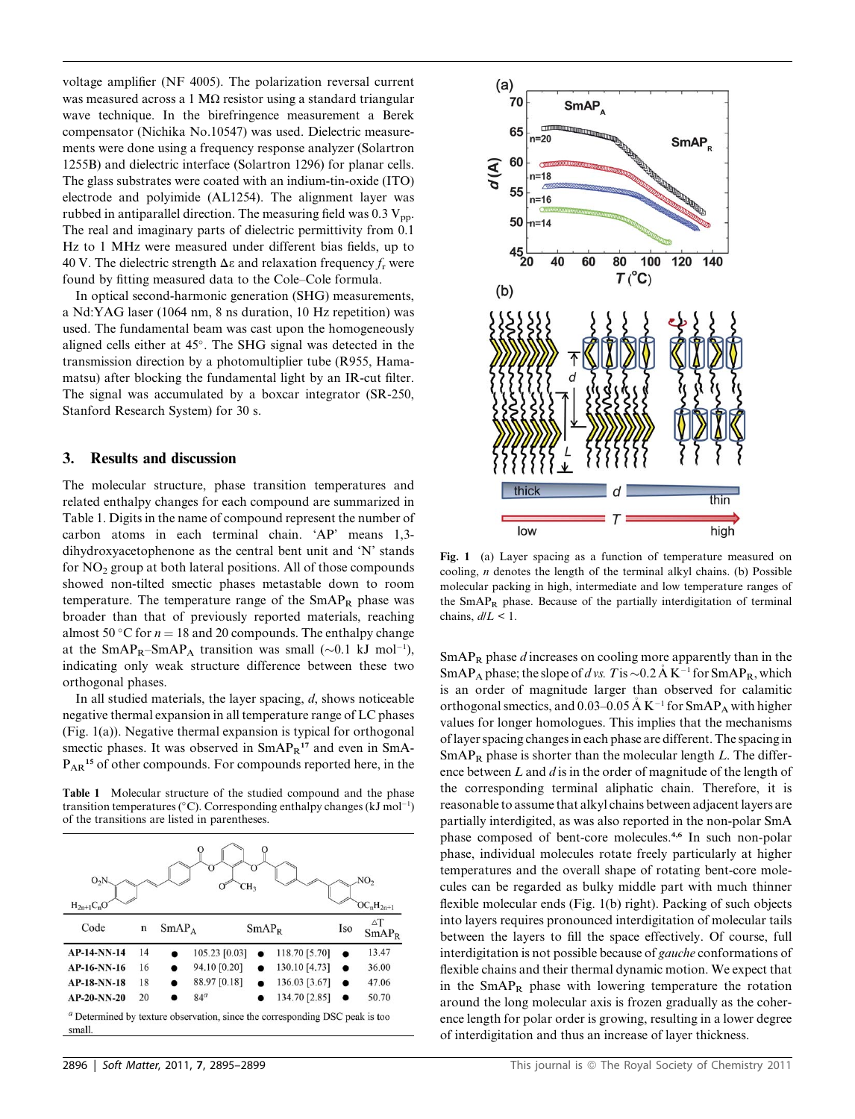voltage amplifier (NF 4005). The polarization reversal current was measured across a 1 M $\Omega$  resistor using a standard triangular wave technique. In the birefringence measurement a Berek compensator (Nichika No.10547) was used. Dielectric measurements were done using a frequency response analyzer (Solartron 1255B) and dielectric interface (Solartron 1296) for planar cells. The glass substrates were coated with an indium-tin-oxide (ITO) electrode and polyimide (AL1254). The alignment layer was rubbed in antiparallel direction. The measuring field was  $0.3 V_{\text{pp}}$ . The real and imaginary parts of dielectric permittivity from 0.1 Hz to 1 MHz were measured under different bias fields, up to 40 V. The dielectric strength  $\Delta \varepsilon$  and relaxation frequency  $f_r$  were found by fitting measured data to the Cole–Cole formula.

In optical second-harmonic generation (SHG) measurements, a Nd:YAG laser (1064 nm, 8 ns duration, 10 Hz repetition) was used. The fundamental beam was cast upon the homogeneously aligned cells either at 45°. The SHG signal was detected in the transmission direction by a photomultiplier tube (R955, Hamamatsu) after blocking the fundamental light by an IR-cut filter. The signal was accumulated by a boxcar integrator (SR-250, Stanford Research System) for 30 s.

#### 3. Results and discussion

The molecular structure, phase transition temperatures and related enthalpy changes for each compound are summarized in Table 1. Digits in the name of compound represent the number of carbon atoms in each terminal chain. 'AP' means 1,3 dihydroxyacetophenone as the central bent unit and 'N' stands for NO2 group at both lateral positions. All of those compounds showed non-tilted smectic phases metastable down to room temperature. The temperature range of the  $SmAP_R$  phase was broader than that of previously reported materials, reaching almost 50 °C for  $n = 18$  and 20 compounds. The enthalpy change at the SmAP<sub>R</sub>-SmAP<sub>A</sub> transition was small  $(\sim 0.1 \text{ kJ mol}^{-1})$ , indicating only weak structure difference between these two orthogonal phases.

In all studied materials, the layer spacing,  $d$ , shows noticeable negative thermal expansion in all temperature range of LC phases (Fig. 1(a)). Negative thermal expansion is typical for orthogonal smectic phases. It was observed in  $SmAP<sub>R</sub>$ <sup>17</sup> and even in SmA- $P_{AR}$ <sup>15</sup> of other compounds. For compounds reported here, in the

Table 1 Molecular structure of the studied compound and the phase transition temperatures (°C). Corresponding enthalpy changes (kJ mol<sup>-1</sup>) of the transitions are listed in parentheses.





Fig. 1 (a) Layer spacing as a function of temperature measured on cooling,  $n$  denotes the length of the terminal alkyl chains. (b) Possible molecular packing in high, intermediate and low temperature ranges of the SmAPR phase. Because of the partially interdigitation of terminal chains,  $d/L < 1$ .

 $SmAP_R$  phase  $d$  increases on cooling more apparently than in the SmAP<sub>A</sub> phase; the slope of d vs. T is  $\sim$  0.2 A K<sup>-1</sup> for SmAP<sub>R</sub>, which is an order of magnitude larger than observed for calamitic orthogonal smectics, and 0.03–0.05 Å  $K^{-1}$  for SmAP<sub>A</sub> with higher values for longer homologues. This implies that the mechanisms of layer spacing changes in each phase are different. The spacing in  $SmAP_R$  phase is shorter than the molecular length L. The difference between  $L$  and  $d$  is in the order of magnitude of the length of the corresponding terminal aliphatic chain. Therefore, it is reasonable to assume that alkyl chains between adjacent layers are partially interdigited, as was also reported in the non-polar SmA phase composed of bent-core molecules.4,6 In such non-polar phase, individual molecules rotate freely particularly at higher temperatures and the overall shape of rotating bent-core molecules can be regarded as bulky middle part with much thinner flexible molecular ends (Fig. 1(b) right). Packing of such objects into layers requires pronounced interdigitation of molecular tails between the layers to fill the space effectively. Of course, full interdigitation is not possible because of gauche conformations of flexible chains and their thermal dynamic motion. We expect that in the  $SmAP_R$  phase with lowering temperature the rotation around the long molecular axis is frozen gradually as the coherence length for polar order is growing, resulting in a lower degree of interdigitation and thus an increase of layer thickness.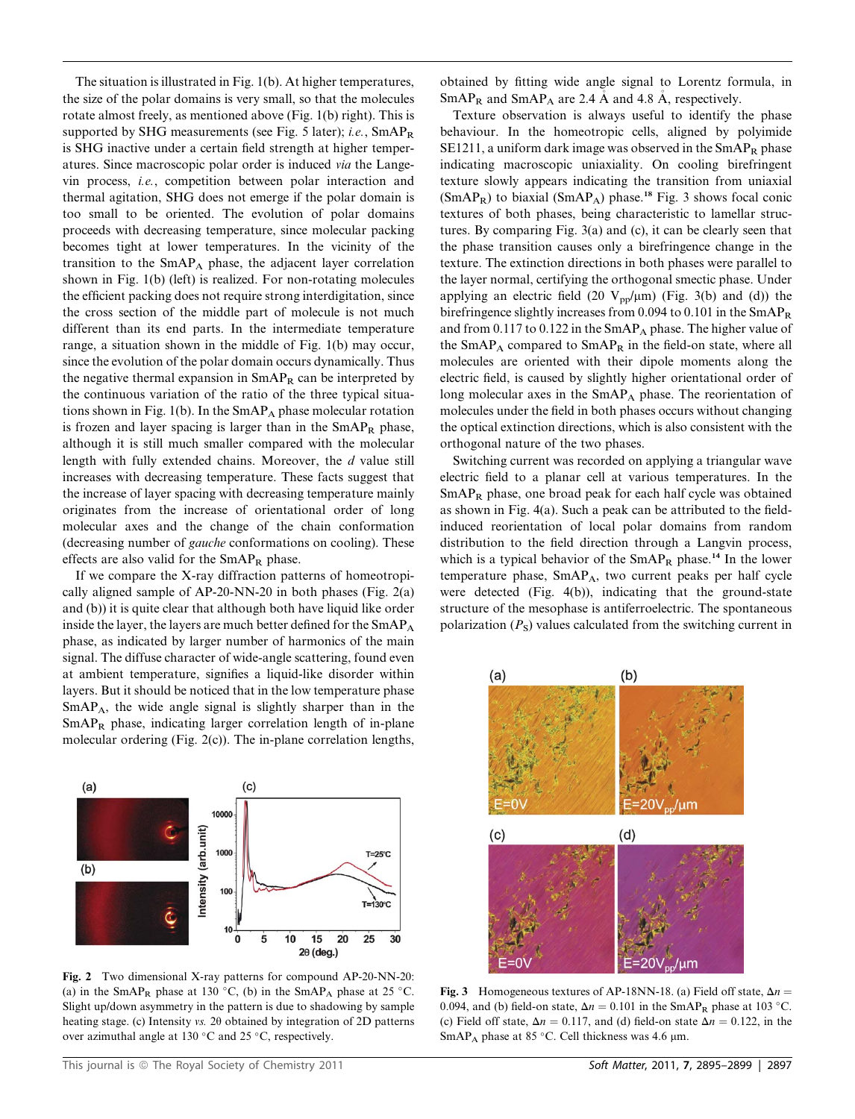The situation is illustrated in Fig. 1(b). At higher temperatures, the size of the polar domains is very small, so that the molecules rotate almost freely, as mentioned above (Fig. 1(b) right). This is supported by SHG measurements (see Fig. 5 later); i.e., SmAPR is SHG inactive under a certain field strength at higher temperatures. Since macroscopic polar order is induced via the Langevin process, i.e., competition between polar interaction and thermal agitation, SHG does not emerge if the polar domain is too small to be oriented. The evolution of polar domains proceeds with decreasing temperature, since molecular packing becomes tight at lower temperatures. In the vicinity of the transition to the  $SmAP<sub>A</sub>$  phase, the adjacent layer correlation shown in Fig. 1(b) (left) is realized. For non-rotating molecules the efficient packing does not require strong interdigitation, since the cross section of the middle part of molecule is not much different than its end parts. In the intermediate temperature range, a situation shown in the middle of Fig. 1(b) may occur, since the evolution of the polar domain occurs dynamically. Thus the negative thermal expansion in  $SmAP_R$  can be interpreted by the continuous variation of the ratio of the three typical situations shown in Fig.  $1(b)$ . In the SmAP<sub>A</sub> phase molecular rotation is frozen and layer spacing is larger than in the  $SmAP_R$  phase, although it is still much smaller compared with the molecular length with fully extended chains. Moreover, the d value still increases with decreasing temperature. These facts suggest that the increase of layer spacing with decreasing temperature mainly originates from the increase of orientational order of long molecular axes and the change of the chain conformation (decreasing number of gauche conformations on cooling). These effects are also valid for the  $SmAP_R$  phase.

If we compare the X-ray diffraction patterns of homeotropically aligned sample of AP-20-NN-20 in both phases (Fig. 2(a) and (b)) it is quite clear that although both have liquid like order inside the layer, the layers are much better defined for the  $SmAP<sub>A</sub>$ phase, as indicated by larger number of harmonics of the main signal. The diffuse character of wide-angle scattering, found even at ambient temperature, signifies a liquid-like disorder within layers. But it should be noticed that in the low temperature phase SmAPA, the wide angle signal is slightly sharper than in the  $SmAP<sub>R</sub>$  phase, indicating larger correlation length of in-plane molecular ordering (Fig. 2(c)). The in-plane correlation lengths,



Fig. 2 Two dimensional X-ray patterns for compound AP-20-NN-20: (a) in the SmAP<sub>R</sub> phase at 130 °C, (b) in the SmAP<sub>A</sub> phase at 25 °C. Slight up/down asymmetry in the pattern is due to shadowing by sample heating stage. (c) Intensity vs. 20 obtained by integration of 2D patterns over azimuthal angle at 130 $\degree$ C and 25 $\degree$ C, respectively.

obtained by fitting wide angle signal to Lorentz formula, in  $SmAP_R$  and  $SmAP_A$  are 2.4 Å and 4.8 Å, respectively.

Texture observation is always useful to identify the phase behaviour. In the homeotropic cells, aligned by polyimide SE1211, a uniform dark image was observed in the  $SmAP_R$  phase indicating macroscopic uniaxiality. On cooling birefringent texture slowly appears indicating the transition from uniaxial  $(SmAP_R)$  to biaxial  $(SmAP_A)$  phase.<sup>18</sup> Fig. 3 shows focal conic textures of both phases, being characteristic to lamellar structures. By comparing Fig. 3(a) and (c), it can be clearly seen that the phase transition causes only a birefringence change in the texture. The extinction directions in both phases were parallel to the layer normal, certifying the orthogonal smectic phase. Under applying an electric field (20  $V_{\text{pp}}/\mu$ m) (Fig. 3(b) and (d)) the birefringence slightly increases from 0.094 to 0.101 in the  $SmAP<sub>R</sub>$ and from 0.117 to 0.122 in the  $SmAP<sub>A</sub>$  phase. The higher value of the  $SmAP_A$  compared to  $SmAP_R$  in the field-on state, where all molecules are oriented with their dipole moments along the electric field, is caused by slightly higher orientational order of long molecular axes in the  $SmAP<sub>A</sub>$  phase. The reorientation of molecules under the field in both phases occurs without changing the optical extinction directions, which is also consistent with the orthogonal nature of the two phases.

Switching current was recorded on applying a triangular wave electric field to a planar cell at various temperatures. In the  $SmAP_R$  phase, one broad peak for each half cycle was obtained as shown in Fig. 4(a). Such a peak can be attributed to the fieldinduced reorientation of local polar domains from random distribution to the field direction through a Langvin process, which is a typical behavior of the  $SmAP_R$  phase.<sup>14</sup> In the lower temperature phase, SmAPA, two current peaks per half cycle were detected (Fig. 4(b)), indicating that the ground-state structure of the mesophase is antiferroelectric. The spontaneous polarization  $(P<sub>S</sub>)$  values calculated from the switching current in



Fig. 3 Homogeneous textures of AP-18NN-18. (a) Field off state,  $\Delta n =$ 0.094, and (b) field-on state,  $\Delta n = 0.101$  in the SmAP<sub>R</sub> phase at 103 °C. (c) Field off state,  $\Delta n = 0.117$ , and (d) field-on state  $\Delta n = 0.122$ , in the SmAP<sub>A</sub> phase at 85 °C. Cell thickness was 4.6  $\mu$ m.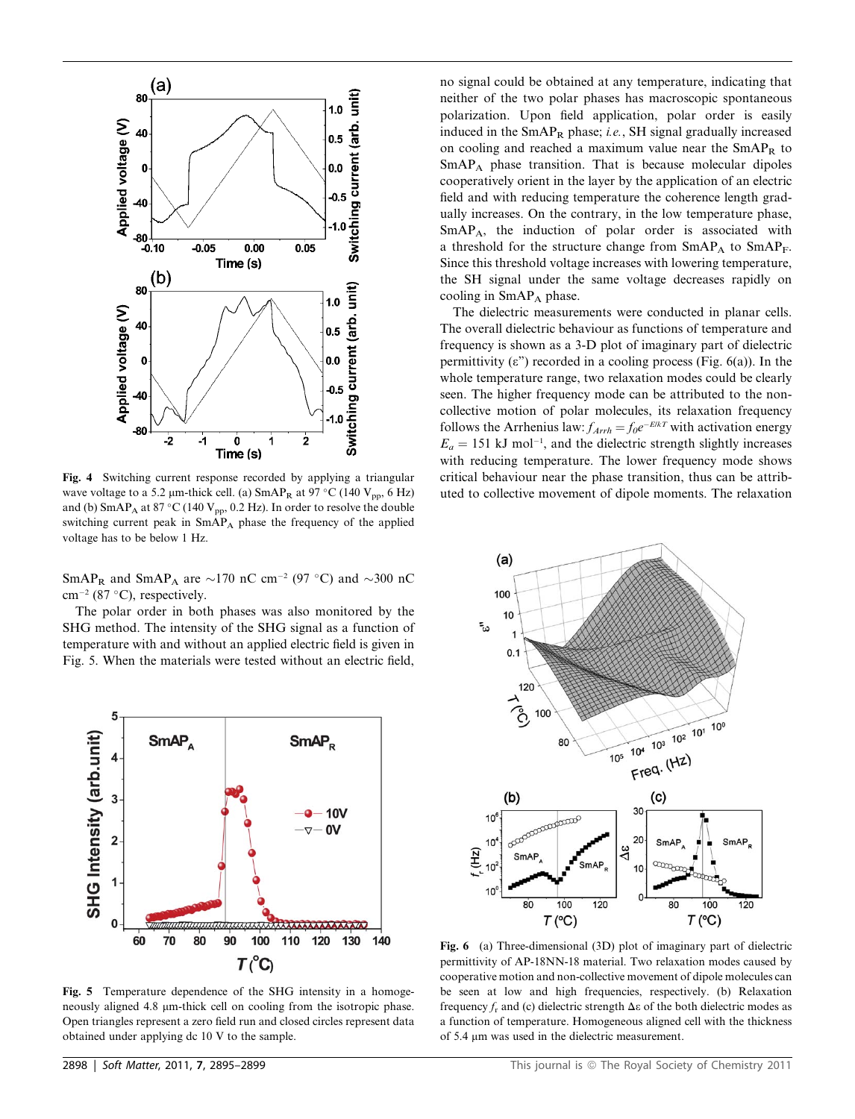

Fig. 4 Switching current response recorded by applying a triangular wave voltage to a 5.2  $\mu$ m-thick cell. (a)  $SmAP_R$  at 97 °C (140  $V_{pp}$ , 6 Hz) and (b)  $SmAP_A$  at 87 °C (140 V<sub>pp</sub>, 0.2 Hz). In order to resolve the double switching current peak in  $SmAP_A$  phase the frequency of the applied voltage has to be below 1 Hz.

SmAP<sub>R</sub> and SmAP<sub>A</sub> are  $\sim$ 170 nC cm<sup>-2</sup> (97 °C) and  $\sim$ 300 nC  $cm^{-2}$  (87 °C), respectively.

The polar order in both phases was also monitored by the SHG method. The intensity of the SHG signal as a function of temperature with and without an applied electric field is given in Fig. 5. When the materials were tested without an electric field,



Fig. 5 Temperature dependence of the SHG intensity in a homogeneously aligned 4.8  $\mu$ m-thick cell on cooling from the isotropic phase. Open triangles represent a zero field run and closed circles represent data obtained under applying dc 10 V to the sample.

no signal could be obtained at any temperature, indicating that neither of the two polar phases has macroscopic spontaneous polarization. Upon field application, polar order is easily induced in the SmAPR phase; i.e., SH signal gradually increased on cooling and reached a maximum value near the SmAPR to SmAPA phase transition. That is because molecular dipoles cooperatively orient in the layer by the application of an electric field and with reducing temperature the coherence length gradually increases. On the contrary, in the low temperature phase, SmAPA, the induction of polar order is associated with a threshold for the structure change from SmAP<sub>A</sub> to SmAP<sub>F</sub>. Since this threshold voltage increases with lowering temperature, the SH signal under the same voltage decreases rapidly on cooling in  $SmAP_A$  phase.

The dielectric measurements were conducted in planar cells. The overall dielectric behaviour as functions of temperature and frequency is shown as a 3-D plot of imaginary part of dielectric permittivity  $(\epsilon$ ") recorded in a cooling process (Fig. 6(a)). In the whole temperature range, two relaxation modes could be clearly seen. The higher frequency mode can be attributed to the noncollective motion of polar molecules, its relaxation frequency follows the Arrhenius law:  $f_{Arrh} = f_0 e^{-E/kT}$  with activation energy  $E_a = 151$  kJ mol<sup>-1</sup>, and the dielectric strength slightly increases with reducing temperature. The lower frequency mode shows critical behaviour near the phase transition, thus can be attributed to collective movement of dipole moments. The relaxation



Fig. 6 (a) Three-dimensional (3D) plot of imaginary part of dielectric permittivity of AP-18NN-18 material. Two relaxation modes caused by cooperative motion and non-collective movement of dipole molecules can be seen at low and high frequencies, respectively. (b) Relaxation frequency  $f_r$  and (c) dielectric strength  $\Delta \varepsilon$  of the both dielectric modes as a function of temperature. Homogeneous aligned cell with the thickness of 5.4  $\mu$ m was used in the dielectric measurement.